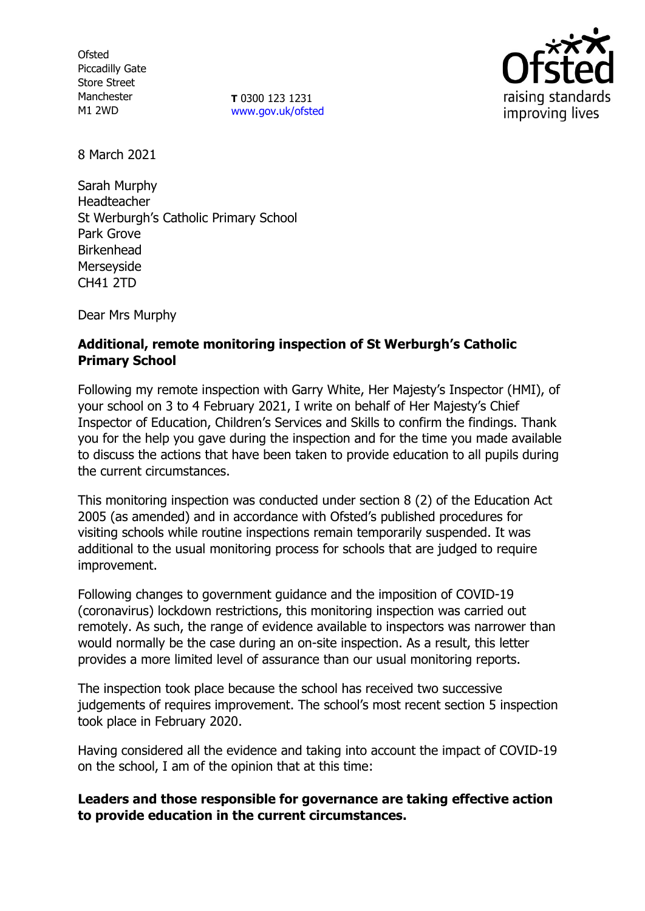**Ofsted** Piccadilly Gate Store Street Manchester M1 2WD

**T** 0300 123 1231 [www.gov.uk/ofsted](http://www.gov.uk/ofsted)



8 March 2021

Sarah Murphy Headteacher St Werburgh's Catholic Primary School Park Grove Birkenhead Merseyside CH41 2TD

Dear Mrs Murphy

# **Additional, remote monitoring inspection of St Werburgh's Catholic Primary School**

Following my remote inspection with Garry White, Her Majesty's Inspector (HMI), of your school on 3 to 4 February 2021, I write on behalf of Her Majesty's Chief Inspector of Education, Children's Services and Skills to confirm the findings. Thank you for the help you gave during the inspection and for the time you made available to discuss the actions that have been taken to provide education to all pupils during the current circumstances.

This monitoring inspection was conducted under section 8 (2) of the Education Act 2005 (as amended) and in accordance with Ofsted's published procedures for visiting schools while routine inspections remain temporarily suspended. It was additional to the usual monitoring process for schools that are judged to require improvement.

Following changes to government guidance and the imposition of COVID-19 (coronavirus) lockdown restrictions, this monitoring inspection was carried out remotely. As such, the range of evidence available to inspectors was narrower than would normally be the case during an on-site inspection. As a result, this letter provides a more limited level of assurance than our usual monitoring reports.

The inspection took place because the school has received two successive judgements of requires improvement. The school's most recent section 5 inspection took place in February 2020.

Having considered all the evidence and taking into account the impact of COVID-19 on the school, I am of the opinion that at this time:

### **Leaders and those responsible for governance are taking effective action to provide education in the current circumstances.**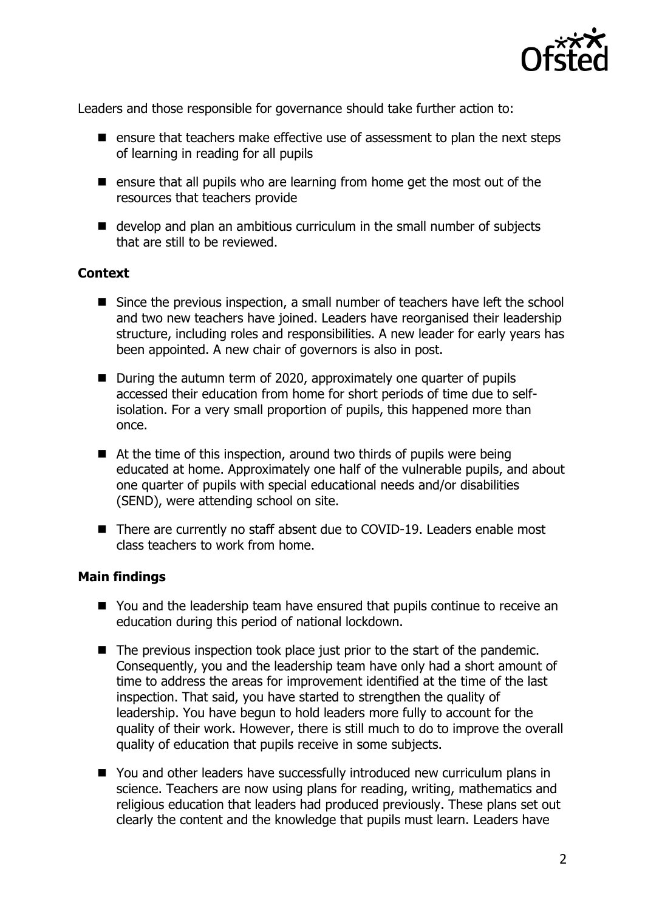

Leaders and those responsible for governance should take further action to:

- $\blacksquare$  ensure that teachers make effective use of assessment to plan the next steps of learning in reading for all pupils
- $\blacksquare$  ensure that all pupils who are learning from home get the most out of the resources that teachers provide
- develop and plan an ambitious curriculum in the small number of subjects that are still to be reviewed.

### **Context**

- Since the previous inspection, a small number of teachers have left the school and two new teachers have joined. Leaders have reorganised their leadership structure, including roles and responsibilities. A new leader for early years has been appointed. A new chair of governors is also in post.
- During the autumn term of 2020, approximately one quarter of pupils accessed their education from home for short periods of time due to selfisolation. For a very small proportion of pupils, this happened more than once.
- At the time of this inspection, around two thirds of pupils were being educated at home. Approximately one half of the vulnerable pupils, and about one quarter of pupils with special educational needs and/or disabilities (SEND), were attending school on site.
- There are currently no staff absent due to COVID-19. Leaders enable most class teachers to work from home.

#### **Main findings**

- You and the leadership team have ensured that pupils continue to receive an education during this period of national lockdown.
- The previous inspection took place just prior to the start of the pandemic. Consequently, you and the leadership team have only had a short amount of time to address the areas for improvement identified at the time of the last inspection. That said, you have started to strengthen the quality of leadership. You have begun to hold leaders more fully to account for the quality of their work. However, there is still much to do to improve the overall quality of education that pupils receive in some subjects.
- You and other leaders have successfully introduced new curriculum plans in science. Teachers are now using plans for reading, writing, mathematics and religious education that leaders had produced previously. These plans set out clearly the content and the knowledge that pupils must learn. Leaders have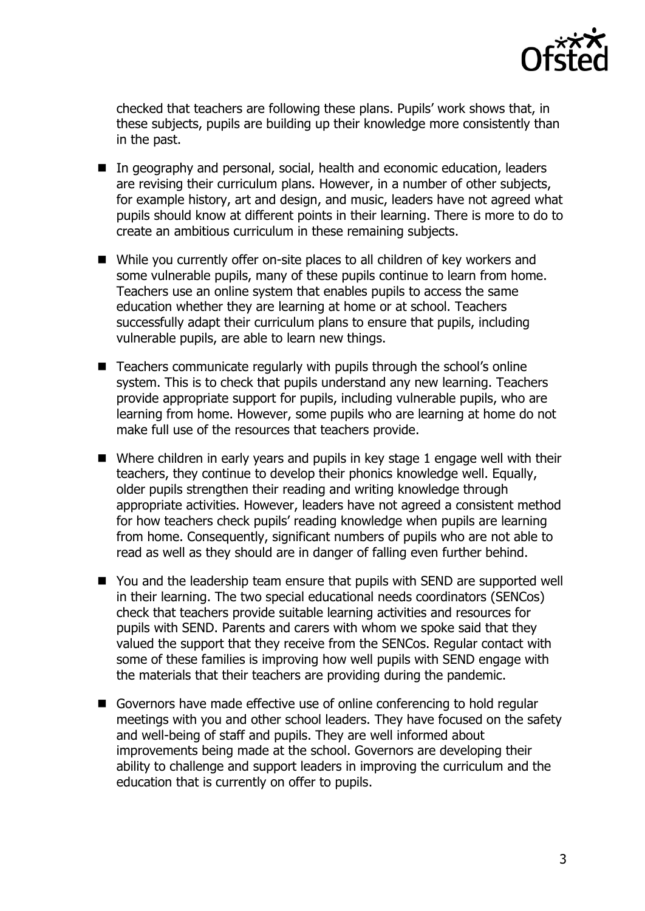

checked that teachers are following these plans. Pupils' work shows that, in these subjects, pupils are building up their knowledge more consistently than in the past.

- In geography and personal, social, health and economic education, leaders are revising their curriculum plans. However, in a number of other subjects, for example history, art and design, and music, leaders have not agreed what pupils should know at different points in their learning. There is more to do to create an ambitious curriculum in these remaining subjects.
- While you currently offer on-site places to all children of key workers and some vulnerable pupils, many of these pupils continue to learn from home. Teachers use an online system that enables pupils to access the same education whether they are learning at home or at school. Teachers successfully adapt their curriculum plans to ensure that pupils, including vulnerable pupils, are able to learn new things.
- Teachers communicate regularly with pupils through the school's online system. This is to check that pupils understand any new learning. Teachers provide appropriate support for pupils, including vulnerable pupils, who are learning from home. However, some pupils who are learning at home do not make full use of the resources that teachers provide.
- Where children in early years and pupils in key stage 1 engage well with their teachers, they continue to develop their phonics knowledge well. Equally, older pupils strengthen their reading and writing knowledge through appropriate activities. However, leaders have not agreed a consistent method for how teachers check pupils' reading knowledge when pupils are learning from home. Consequently, significant numbers of pupils who are not able to read as well as they should are in danger of falling even further behind.
- You and the leadership team ensure that pupils with SEND are supported well in their learning. The two special educational needs coordinators (SENCos) check that teachers provide suitable learning activities and resources for pupils with SEND. Parents and carers with whom we spoke said that they valued the support that they receive from the SENCos. Regular contact with some of these families is improving how well pupils with SEND engage with the materials that their teachers are providing during the pandemic.
- Governors have made effective use of online conferencing to hold regular meetings with you and other school leaders. They have focused on the safety and well-being of staff and pupils. They are well informed about improvements being made at the school. Governors are developing their ability to challenge and support leaders in improving the curriculum and the education that is currently on offer to pupils.